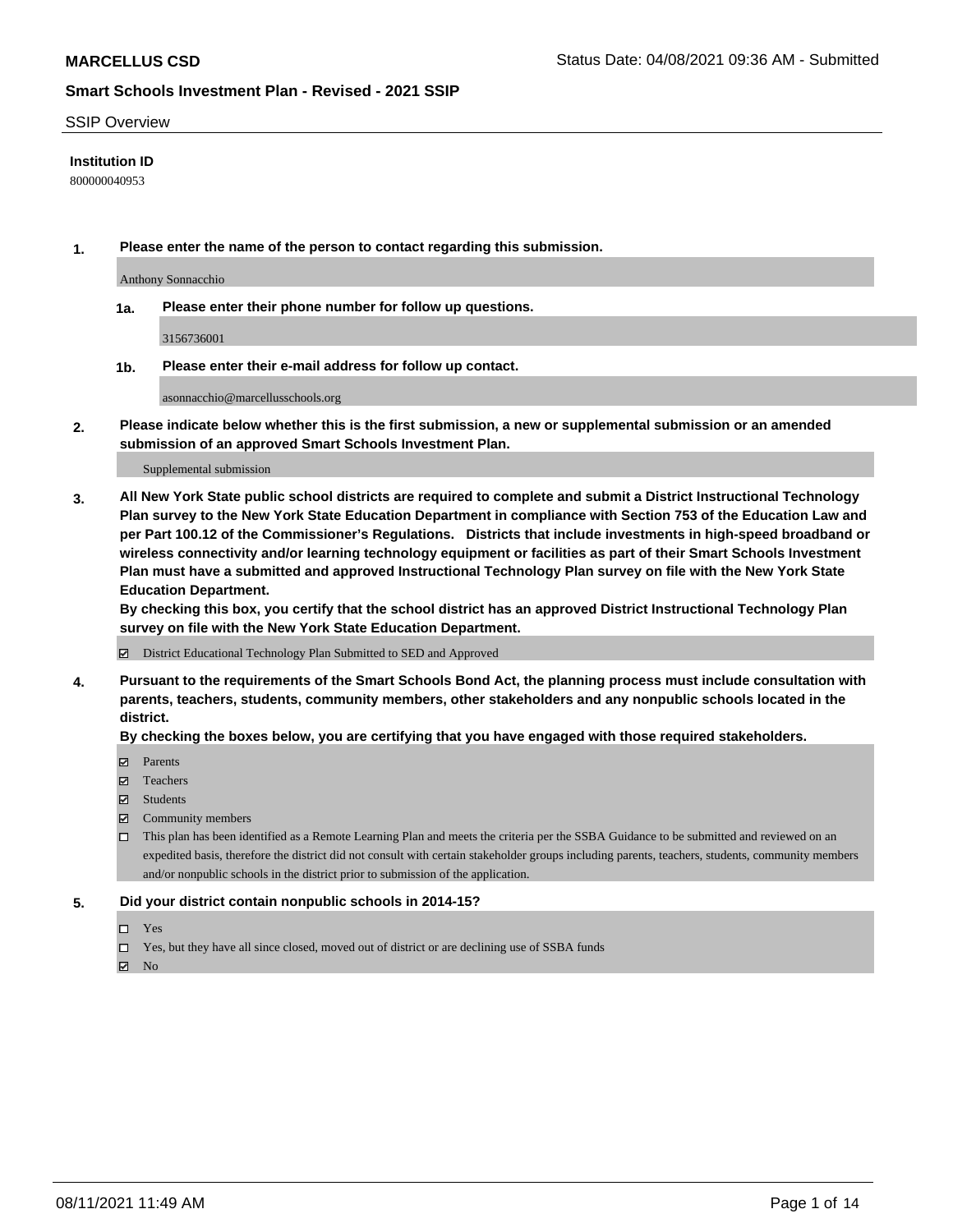#### SSIP Overview

#### **Institution ID**

800000040953

**1. Please enter the name of the person to contact regarding this submission.**

Anthony Sonnacchio

**1a. Please enter their phone number for follow up questions.**

3156736001

**1b. Please enter their e-mail address for follow up contact.**

asonnacchio@marcellusschools.org

**2. Please indicate below whether this is the first submission, a new or supplemental submission or an amended submission of an approved Smart Schools Investment Plan.**

#### Supplemental submission

**3. All New York State public school districts are required to complete and submit a District Instructional Technology Plan survey to the New York State Education Department in compliance with Section 753 of the Education Law and per Part 100.12 of the Commissioner's Regulations. Districts that include investments in high-speed broadband or wireless connectivity and/or learning technology equipment or facilities as part of their Smart Schools Investment Plan must have a submitted and approved Instructional Technology Plan survey on file with the New York State Education Department.** 

**By checking this box, you certify that the school district has an approved District Instructional Technology Plan survey on file with the New York State Education Department.**

District Educational Technology Plan Submitted to SED and Approved

**4. Pursuant to the requirements of the Smart Schools Bond Act, the planning process must include consultation with parents, teachers, students, community members, other stakeholders and any nonpublic schools located in the district.** 

#### **By checking the boxes below, you are certifying that you have engaged with those required stakeholders.**

- **Parents**
- Teachers
- Students
- $\boxtimes$  Community members
- This plan has been identified as a Remote Learning Plan and meets the criteria per the SSBA Guidance to be submitted and reviewed on an expedited basis, therefore the district did not consult with certain stakeholder groups including parents, teachers, students, community members and/or nonpublic schools in the district prior to submission of the application.
- **5. Did your district contain nonpublic schools in 2014-15?**
	- □ Yes
	- □ Yes, but they have all since closed, moved out of district or are declining use of SSBA funds

 $M$  No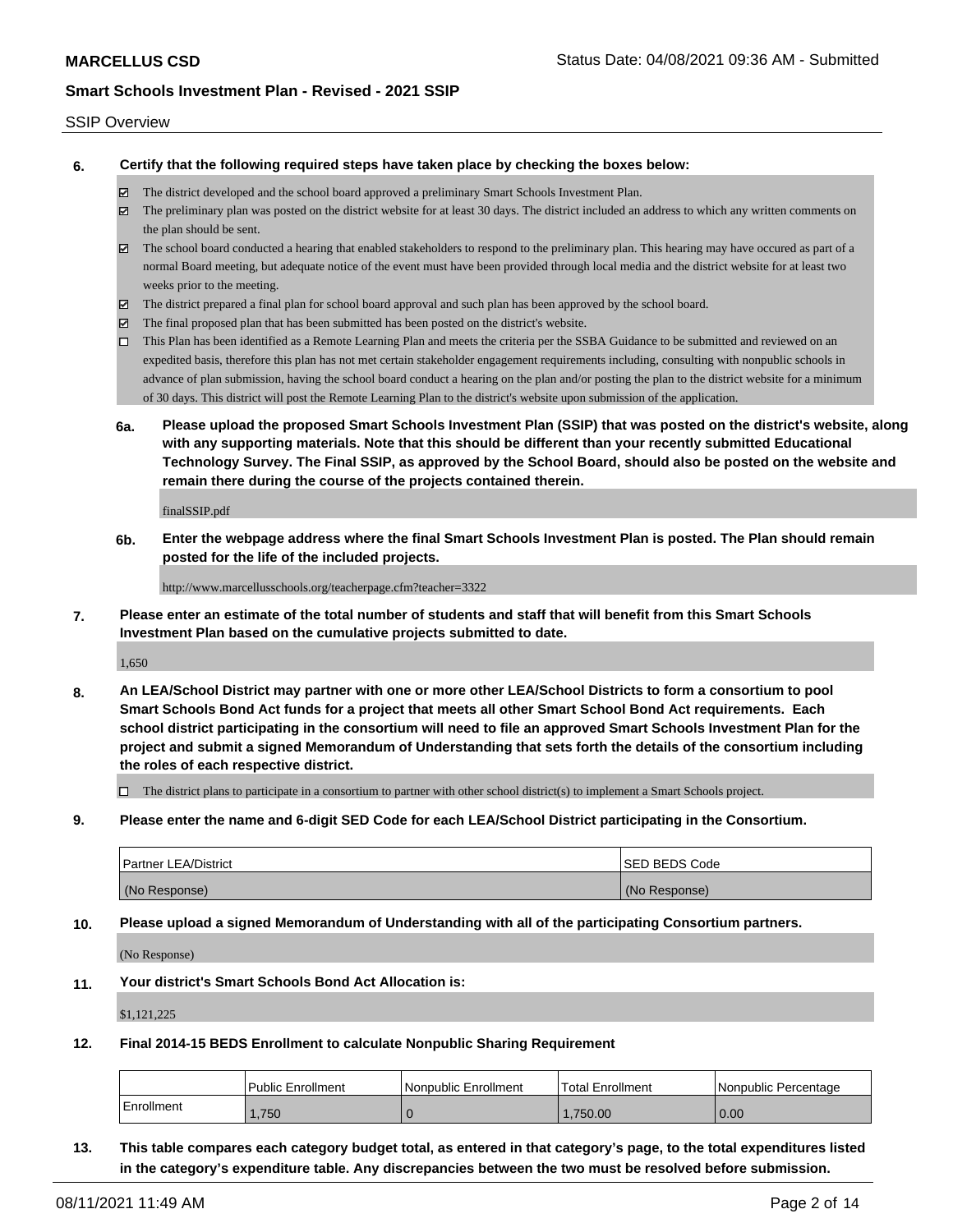#### SSIP Overview

**6. Certify that the following required steps have taken place by checking the boxes below:**

- The district developed and the school board approved a preliminary Smart Schools Investment Plan.
- The preliminary plan was posted on the district website for at least 30 days. The district included an address to which any written comments on the plan should be sent.
- $\boxtimes$  The school board conducted a hearing that enabled stakeholders to respond to the preliminary plan. This hearing may have occured as part of a normal Board meeting, but adequate notice of the event must have been provided through local media and the district website for at least two weeks prior to the meeting.
- The district prepared a final plan for school board approval and such plan has been approved by the school board.
- $\boxtimes$  The final proposed plan that has been submitted has been posted on the district's website.
- This Plan has been identified as a Remote Learning Plan and meets the criteria per the SSBA Guidance to be submitted and reviewed on an expedited basis, therefore this plan has not met certain stakeholder engagement requirements including, consulting with nonpublic schools in advance of plan submission, having the school board conduct a hearing on the plan and/or posting the plan to the district website for a minimum of 30 days. This district will post the Remote Learning Plan to the district's website upon submission of the application.
- **6a. Please upload the proposed Smart Schools Investment Plan (SSIP) that was posted on the district's website, along with any supporting materials. Note that this should be different than your recently submitted Educational Technology Survey. The Final SSIP, as approved by the School Board, should also be posted on the website and remain there during the course of the projects contained therein.**

finalSSIP.pdf

**6b. Enter the webpage address where the final Smart Schools Investment Plan is posted. The Plan should remain posted for the life of the included projects.**

http://www.marcellusschools.org/teacherpage.cfm?teacher=3322

**7. Please enter an estimate of the total number of students and staff that will benefit from this Smart Schools Investment Plan based on the cumulative projects submitted to date.**

1,650

**8. An LEA/School District may partner with one or more other LEA/School Districts to form a consortium to pool Smart Schools Bond Act funds for a project that meets all other Smart School Bond Act requirements. Each school district participating in the consortium will need to file an approved Smart Schools Investment Plan for the project and submit a signed Memorandum of Understanding that sets forth the details of the consortium including the roles of each respective district.**

 $\Box$  The district plans to participate in a consortium to partner with other school district(s) to implement a Smart Schools project.

**9. Please enter the name and 6-digit SED Code for each LEA/School District participating in the Consortium.**

| <b>Partner LEA/District</b> | <b>ISED BEDS Code</b> |
|-----------------------------|-----------------------|
| (No Response)               | (No Response)         |

**10. Please upload a signed Memorandum of Understanding with all of the participating Consortium partners.**

(No Response)

**11. Your district's Smart Schools Bond Act Allocation is:**

\$1,121,225

**12. Final 2014-15 BEDS Enrollment to calculate Nonpublic Sharing Requirement**

|            | <b>Public Enrollment</b> | Nonpublic Enrollment | Total Enrollment | I Nonpublic Percentage |
|------------|--------------------------|----------------------|------------------|------------------------|
| Enrollment | .750                     |                      | .750.00          | 0.00                   |

**13. This table compares each category budget total, as entered in that category's page, to the total expenditures listed in the category's expenditure table. Any discrepancies between the two must be resolved before submission.**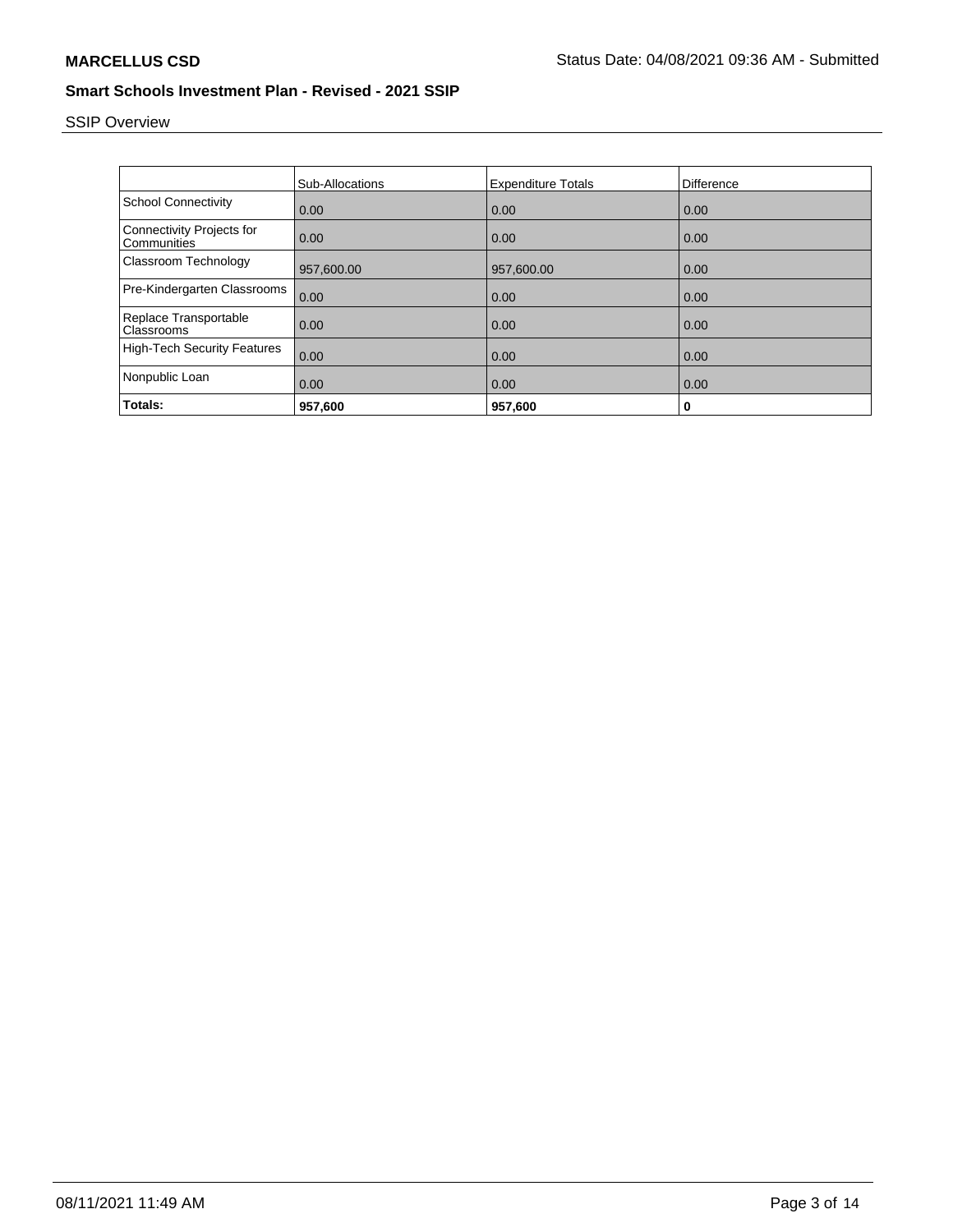# SSIP Overview

|                                                 | <b>Sub-Allocations</b> | <b>Expenditure Totals</b> | Difference |
|-------------------------------------------------|------------------------|---------------------------|------------|
| <b>School Connectivity</b>                      | 0.00                   | 0.00                      | 0.00       |
| <b>Connectivity Projects for</b><br>Communities | 0.00                   | 0.00                      | 0.00       |
| Classroom Technology                            | 957,600.00             | 957,600.00                | 0.00       |
| Pre-Kindergarten Classrooms                     | 0.00                   | 0.00                      | 0.00       |
| Replace Transportable<br>Classrooms             | 0.00                   | 0.00                      | 0.00       |
| <b>High-Tech Security Features</b>              | 0.00                   | 0.00                      | 0.00       |
| Nonpublic Loan                                  | 0.00                   | 0.00                      | 0.00       |
| Totals:                                         | 957,600                | 957,600                   | 0          |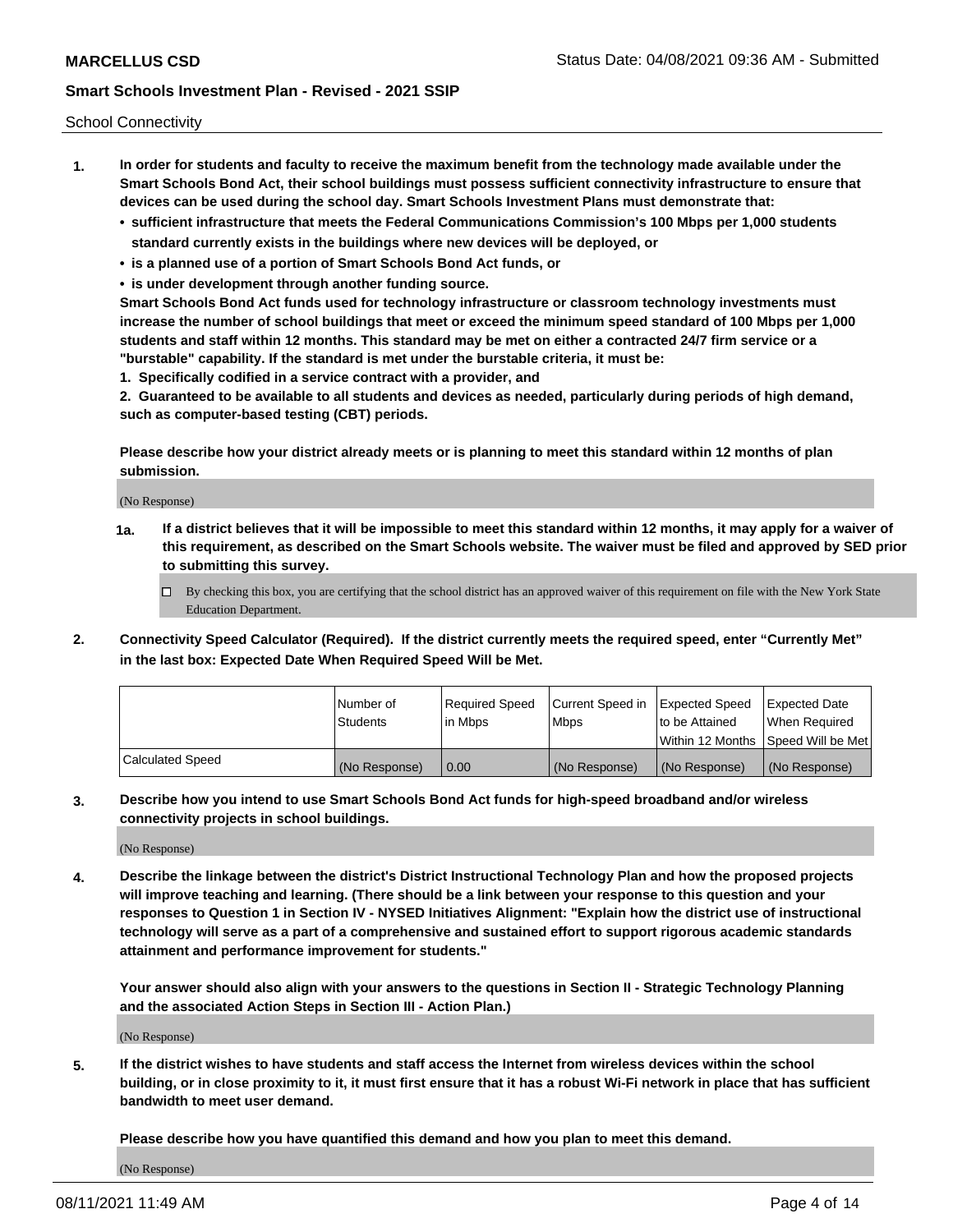School Connectivity

- **1. In order for students and faculty to receive the maximum benefit from the technology made available under the Smart Schools Bond Act, their school buildings must possess sufficient connectivity infrastructure to ensure that devices can be used during the school day. Smart Schools Investment Plans must demonstrate that:**
	- **• sufficient infrastructure that meets the Federal Communications Commission's 100 Mbps per 1,000 students standard currently exists in the buildings where new devices will be deployed, or**
	- **• is a planned use of a portion of Smart Schools Bond Act funds, or**
	- **• is under development through another funding source.**

**Smart Schools Bond Act funds used for technology infrastructure or classroom technology investments must increase the number of school buildings that meet or exceed the minimum speed standard of 100 Mbps per 1,000 students and staff within 12 months. This standard may be met on either a contracted 24/7 firm service or a "burstable" capability. If the standard is met under the burstable criteria, it must be:**

**1. Specifically codified in a service contract with a provider, and**

**2. Guaranteed to be available to all students and devices as needed, particularly during periods of high demand, such as computer-based testing (CBT) periods.**

**Please describe how your district already meets or is planning to meet this standard within 12 months of plan submission.**

(No Response)

**1a. If a district believes that it will be impossible to meet this standard within 12 months, it may apply for a waiver of this requirement, as described on the Smart Schools website. The waiver must be filed and approved by SED prior to submitting this survey.**

 $\Box$  By checking this box, you are certifying that the school district has an approved waiver of this requirement on file with the New York State Education Department.

**2. Connectivity Speed Calculator (Required). If the district currently meets the required speed, enter "Currently Met" in the last box: Expected Date When Required Speed Will be Met.**

|                  | l Number of     | Required Speed | Current Speed in | Expected Speed  | Expected Date                           |
|------------------|-----------------|----------------|------------------|-----------------|-----------------------------------------|
|                  | <b>Students</b> | In Mbps        | l Mbps           | to be Attained  | When Required                           |
|                  |                 |                |                  |                 | l Within 12 Months ISpeed Will be Met l |
| Calculated Speed | (No Response)   | 0.00           | (No Response)    | l (No Response) | l (No Response)                         |

**3. Describe how you intend to use Smart Schools Bond Act funds for high-speed broadband and/or wireless connectivity projects in school buildings.**

(No Response)

**4. Describe the linkage between the district's District Instructional Technology Plan and how the proposed projects will improve teaching and learning. (There should be a link between your response to this question and your responses to Question 1 in Section IV - NYSED Initiatives Alignment: "Explain how the district use of instructional technology will serve as a part of a comprehensive and sustained effort to support rigorous academic standards attainment and performance improvement for students."** 

**Your answer should also align with your answers to the questions in Section II - Strategic Technology Planning and the associated Action Steps in Section III - Action Plan.)**

(No Response)

**5. If the district wishes to have students and staff access the Internet from wireless devices within the school building, or in close proximity to it, it must first ensure that it has a robust Wi-Fi network in place that has sufficient bandwidth to meet user demand.**

**Please describe how you have quantified this demand and how you plan to meet this demand.**

(No Response)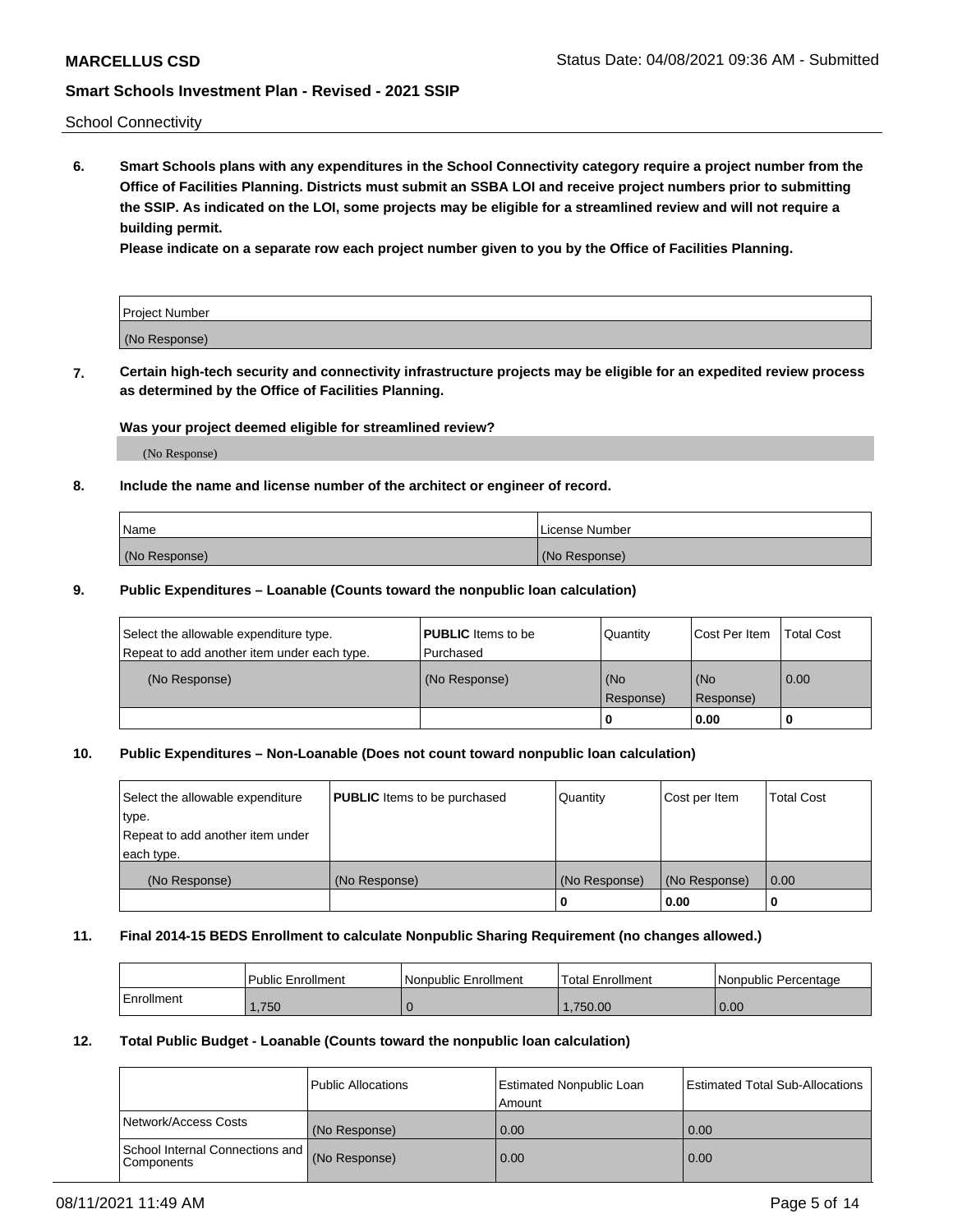School Connectivity

**6. Smart Schools plans with any expenditures in the School Connectivity category require a project number from the Office of Facilities Planning. Districts must submit an SSBA LOI and receive project numbers prior to submitting the SSIP. As indicated on the LOI, some projects may be eligible for a streamlined review and will not require a building permit.**

**Please indicate on a separate row each project number given to you by the Office of Facilities Planning.**

| Project Number |  |
|----------------|--|
| (No Response)  |  |

**7. Certain high-tech security and connectivity infrastructure projects may be eligible for an expedited review process as determined by the Office of Facilities Planning.**

### **Was your project deemed eligible for streamlined review?**

(No Response)

#### **8. Include the name and license number of the architect or engineer of record.**

| Name          | License Number |
|---------------|----------------|
| (No Response) | (No Response)  |

#### **9. Public Expenditures – Loanable (Counts toward the nonpublic loan calculation)**

| Select the allowable expenditure type.<br>Repeat to add another item under each type. | <b>PUBLIC</b> Items to be<br>l Purchased | Quantity         | l Cost Per Item  | <b>Total Cost</b> |
|---------------------------------------------------------------------------------------|------------------------------------------|------------------|------------------|-------------------|
| (No Response)                                                                         | (No Response)                            | (No<br>Response) | (No<br>Response) | 0.00              |
|                                                                                       |                                          | 0                | 0.00             |                   |

### **10. Public Expenditures – Non-Loanable (Does not count toward nonpublic loan calculation)**

| Select the allowable expenditure<br>type.      | <b>PUBLIC</b> Items to be purchased | Quantity      | Cost per Item | <b>Total Cost</b> |
|------------------------------------------------|-------------------------------------|---------------|---------------|-------------------|
| Repeat to add another item under<br>each type. |                                     |               |               |                   |
| (No Response)                                  | (No Response)                       | (No Response) | (No Response) | 0.00              |
|                                                |                                     |               | 0.00          |                   |

#### **11. Final 2014-15 BEDS Enrollment to calculate Nonpublic Sharing Requirement (no changes allowed.)**

|            | Public Enrollment | l Nonpublic Enrollment | <b>Total Enrollment</b> | Nonpublic Percentage |
|------------|-------------------|------------------------|-------------------------|----------------------|
| Enrollment | .750              |                        | .750.00                 | 0.00                 |

#### **12. Total Public Budget - Loanable (Counts toward the nonpublic loan calculation)**

|                                                      | Public Allocations | <b>Estimated Nonpublic Loan</b><br>Amount | Estimated Total Sub-Allocations |
|------------------------------------------------------|--------------------|-------------------------------------------|---------------------------------|
| Network/Access Costs                                 | (No Response)      | 0.00                                      | 0.00                            |
| School Internal Connections and<br><b>Components</b> | (No Response)      | 0.00                                      | 0.00                            |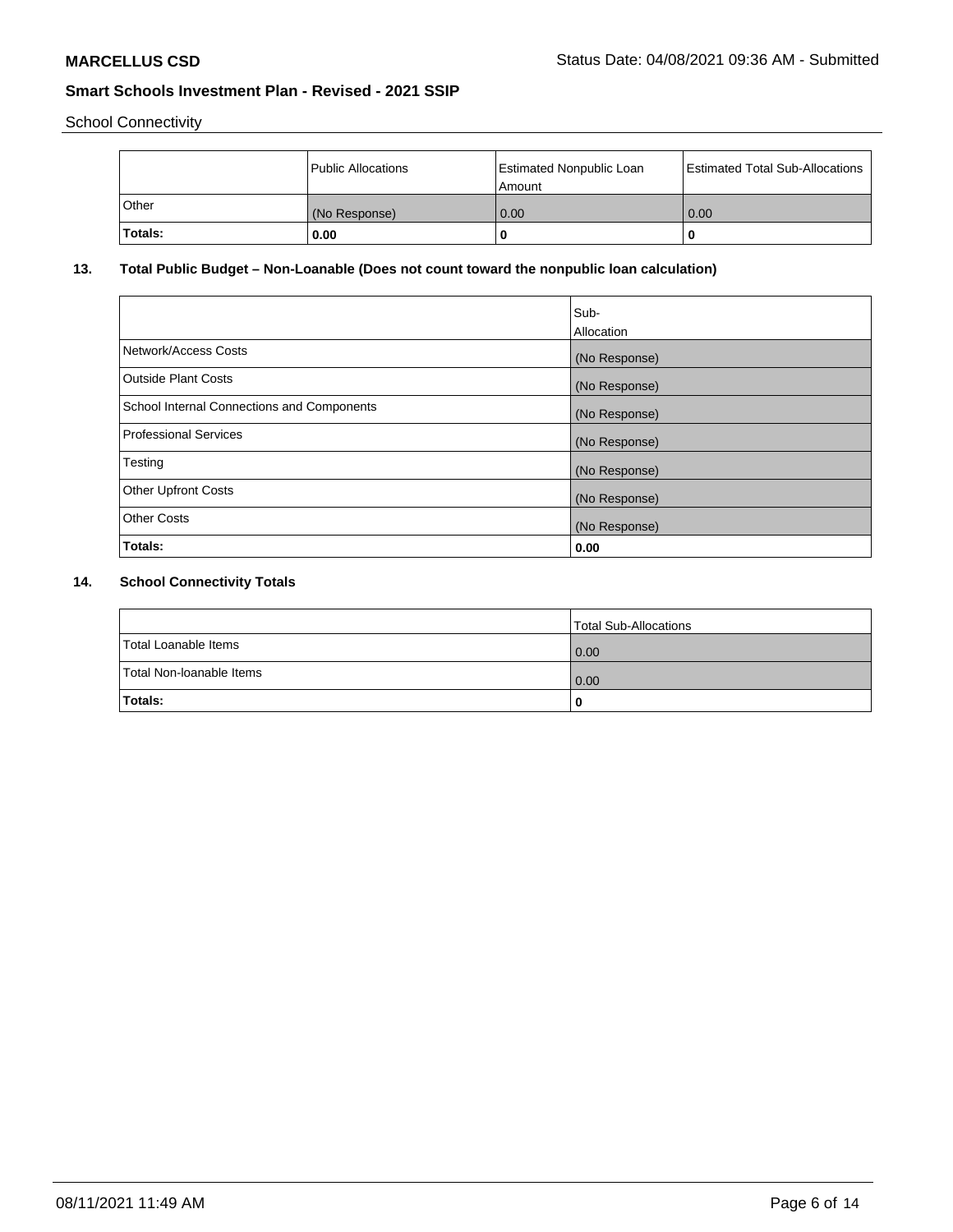School Connectivity

|              | Public Allocations | <b>Estimated Nonpublic Loan</b><br>Amount | <b>Estimated Total Sub-Allocations</b> |
|--------------|--------------------|-------------------------------------------|----------------------------------------|
| <b>Other</b> | (No Response)      | 0.00                                      | 0.00                                   |
| Totals:      | 0.00               |                                           | 0                                      |

## **13. Total Public Budget – Non-Loanable (Does not count toward the nonpublic loan calculation)**

|                                                   | Sub-<br>Allocation |
|---------------------------------------------------|--------------------|
| Network/Access Costs                              | (No Response)      |
| <b>Outside Plant Costs</b>                        | (No Response)      |
| <b>School Internal Connections and Components</b> | (No Response)      |
| Professional Services                             | (No Response)      |
| Testing                                           | (No Response)      |
| <b>Other Upfront Costs</b>                        | (No Response)      |
| <b>Other Costs</b>                                | (No Response)      |
| Totals:                                           | 0.00               |

## **14. School Connectivity Totals**

|                          | Total Sub-Allocations |
|--------------------------|-----------------------|
| Total Loanable Items     | 0.00                  |
| Total Non-Ioanable Items | 0.00                  |
| Totals:                  | 0                     |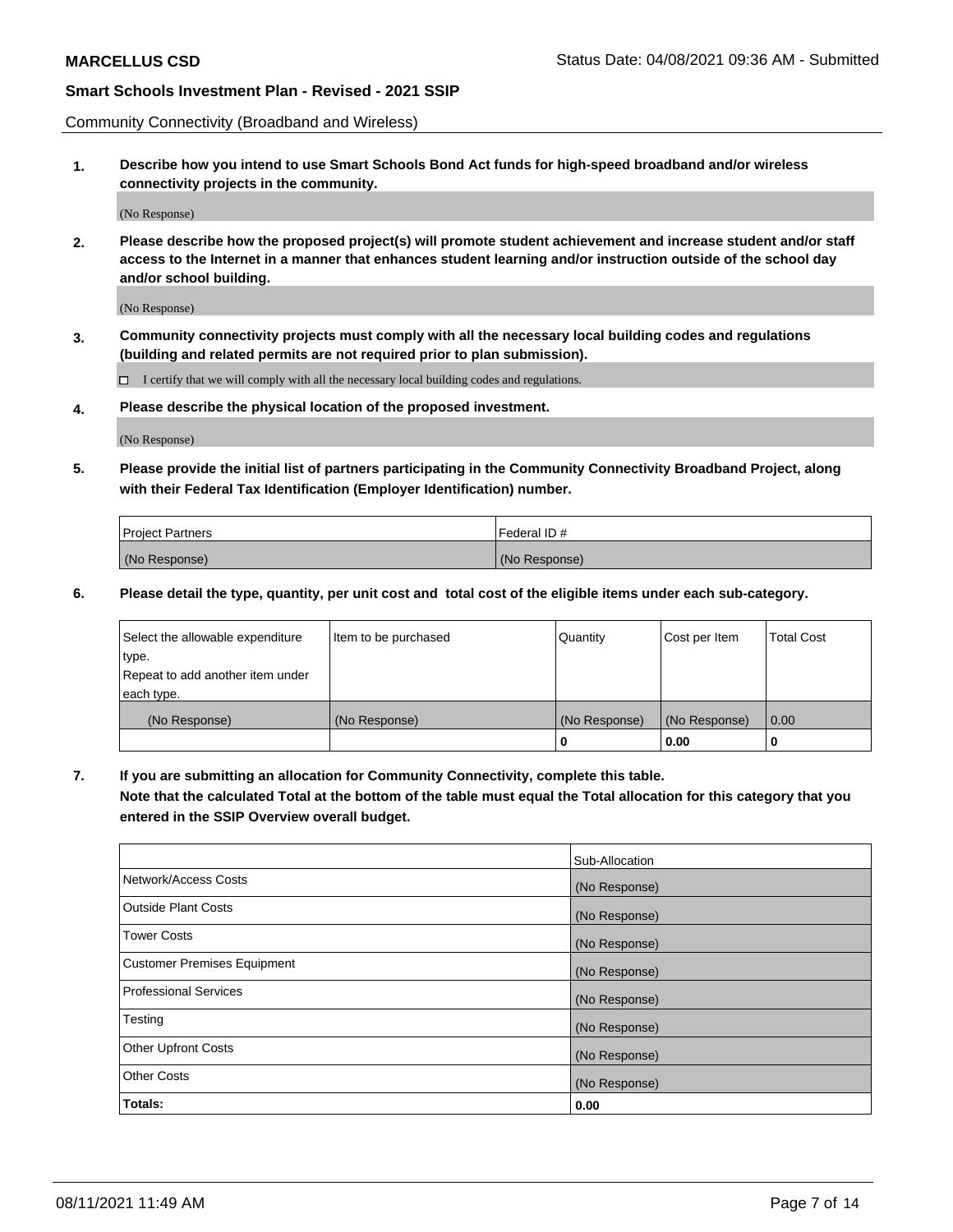Community Connectivity (Broadband and Wireless)

**1. Describe how you intend to use Smart Schools Bond Act funds for high-speed broadband and/or wireless connectivity projects in the community.**

(No Response)

**2. Please describe how the proposed project(s) will promote student achievement and increase student and/or staff access to the Internet in a manner that enhances student learning and/or instruction outside of the school day and/or school building.**

(No Response)

**3. Community connectivity projects must comply with all the necessary local building codes and regulations (building and related permits are not required prior to plan submission).**

 $\Box$  I certify that we will comply with all the necessary local building codes and regulations.

**4. Please describe the physical location of the proposed investment.**

(No Response)

**5. Please provide the initial list of partners participating in the Community Connectivity Broadband Project, along with their Federal Tax Identification (Employer Identification) number.**

| <b>Project Partners</b> | l Federal ID # |
|-------------------------|----------------|
| (No Response)           | (No Response)  |

**6. Please detail the type, quantity, per unit cost and total cost of the eligible items under each sub-category.**

| Select the allowable expenditure | Item to be purchased | Quantity      | Cost per Item | <b>Total Cost</b> |
|----------------------------------|----------------------|---------------|---------------|-------------------|
| type.                            |                      |               |               |                   |
| Repeat to add another item under |                      |               |               |                   |
| each type.                       |                      |               |               |                   |
| (No Response)                    | (No Response)        | (No Response) | (No Response) | 0.00              |
|                                  |                      | o             | 0.00          |                   |

**7. If you are submitting an allocation for Community Connectivity, complete this table.**

**Note that the calculated Total at the bottom of the table must equal the Total allocation for this category that you entered in the SSIP Overview overall budget.**

|                                    | Sub-Allocation |
|------------------------------------|----------------|
| Network/Access Costs               | (No Response)  |
| Outside Plant Costs                | (No Response)  |
| <b>Tower Costs</b>                 | (No Response)  |
| <b>Customer Premises Equipment</b> | (No Response)  |
| <b>Professional Services</b>       | (No Response)  |
| Testing                            | (No Response)  |
| <b>Other Upfront Costs</b>         | (No Response)  |
| <b>Other Costs</b>                 | (No Response)  |
| Totals:                            | 0.00           |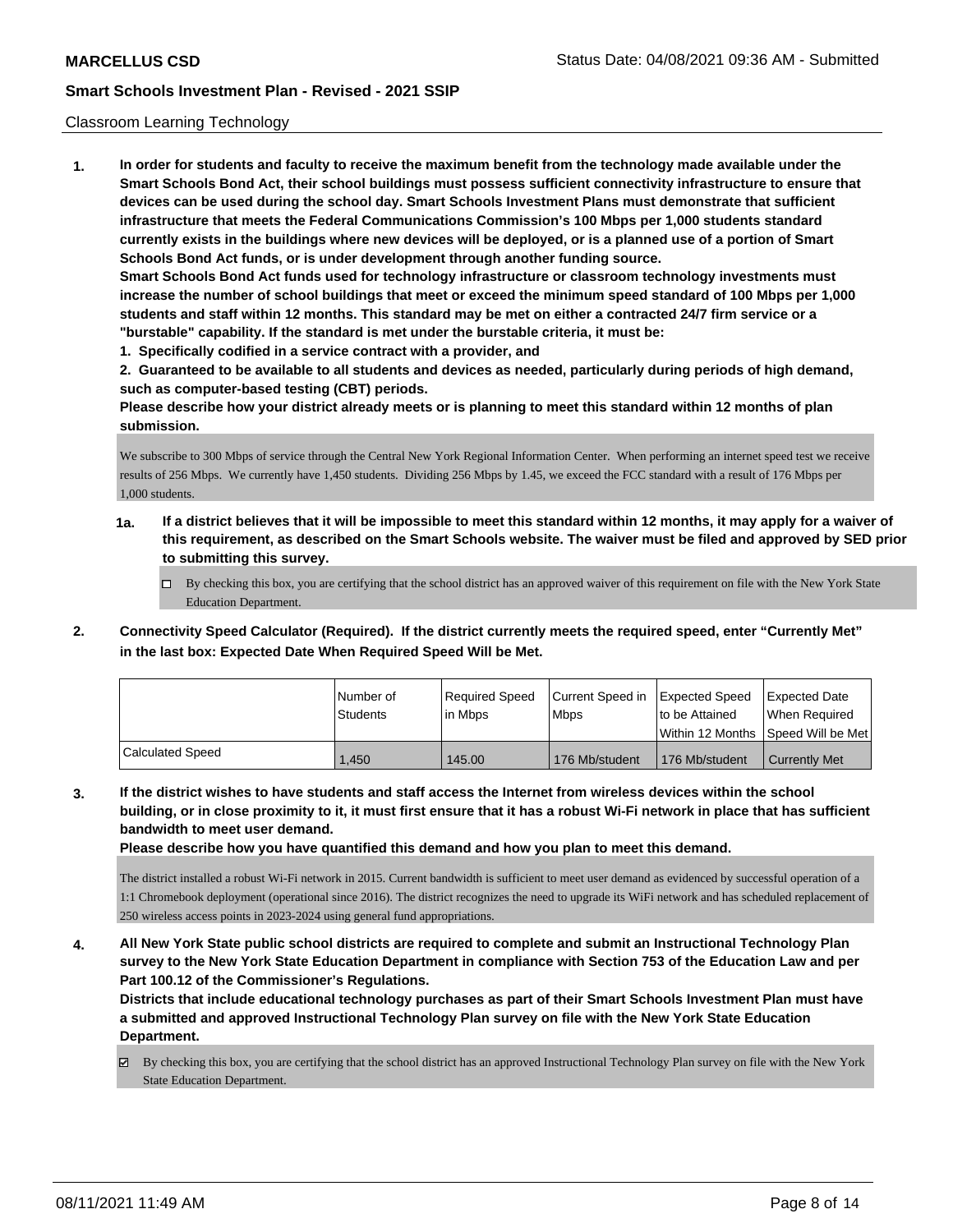#### Classroom Learning Technology

**1. In order for students and faculty to receive the maximum benefit from the technology made available under the Smart Schools Bond Act, their school buildings must possess sufficient connectivity infrastructure to ensure that devices can be used during the school day. Smart Schools Investment Plans must demonstrate that sufficient infrastructure that meets the Federal Communications Commission's 100 Mbps per 1,000 students standard currently exists in the buildings where new devices will be deployed, or is a planned use of a portion of Smart Schools Bond Act funds, or is under development through another funding source. Smart Schools Bond Act funds used for technology infrastructure or classroom technology investments must increase the number of school buildings that meet or exceed the minimum speed standard of 100 Mbps per 1,000 students and staff within 12 months. This standard may be met on either a contracted 24/7 firm service or a "burstable" capability. If the standard is met under the burstable criteria, it must be:**

**1. Specifically codified in a service contract with a provider, and**

**2. Guaranteed to be available to all students and devices as needed, particularly during periods of high demand, such as computer-based testing (CBT) periods.**

**Please describe how your district already meets or is planning to meet this standard within 12 months of plan submission.**

We subscribe to 300 Mbps of service through the Central New York Regional Information Center. When performing an internet speed test we receive results of 256 Mbps. We currently have 1,450 students. Dividing 256 Mbps by 1.45, we exceed the FCC standard with a result of 176 Mbps per 1,000 students.

- **1a. If a district believes that it will be impossible to meet this standard within 12 months, it may apply for a waiver of this requirement, as described on the Smart Schools website. The waiver must be filed and approved by SED prior to submitting this survey.**
	- By checking this box, you are certifying that the school district has an approved waiver of this requirement on file with the New York State Education Department.
- **2. Connectivity Speed Calculator (Required). If the district currently meets the required speed, enter "Currently Met" in the last box: Expected Date When Required Speed Will be Met.**

|                  | l Number of | Required Speed | Current Speed in | Expected Speed                      | Expected Date                      |
|------------------|-------------|----------------|------------------|-------------------------------------|------------------------------------|
|                  | Students    | lin Mbps       | <b>Mbps</b>      | Ito be Attained<br>Within 12 Months | When Required<br>Speed Will be Met |
|                  |             |                |                  |                                     |                                    |
| Calculated Speed | .450        | 145.00         | 176 Mb/student   | 176 Mb/student                      | <b>Currently Met</b>               |

**3. If the district wishes to have students and staff access the Internet from wireless devices within the school building, or in close proximity to it, it must first ensure that it has a robust Wi-Fi network in place that has sufficient bandwidth to meet user demand.**

**Please describe how you have quantified this demand and how you plan to meet this demand.**

The district installed a robust Wi-Fi network in 2015. Current bandwidth is sufficient to meet user demand as evidenced by successful operation of a 1:1 Chromebook deployment (operational since 2016). The district recognizes the need to upgrade its WiFi network and has scheduled replacement of 250 wireless access points in 2023-2024 using general fund appropriations.

**4. All New York State public school districts are required to complete and submit an Instructional Technology Plan survey to the New York State Education Department in compliance with Section 753 of the Education Law and per Part 100.12 of the Commissioner's Regulations.**

**Districts that include educational technology purchases as part of their Smart Schools Investment Plan must have a submitted and approved Instructional Technology Plan survey on file with the New York State Education Department.**

By checking this box, you are certifying that the school district has an approved Instructional Technology Plan survey on file with the New York State Education Department.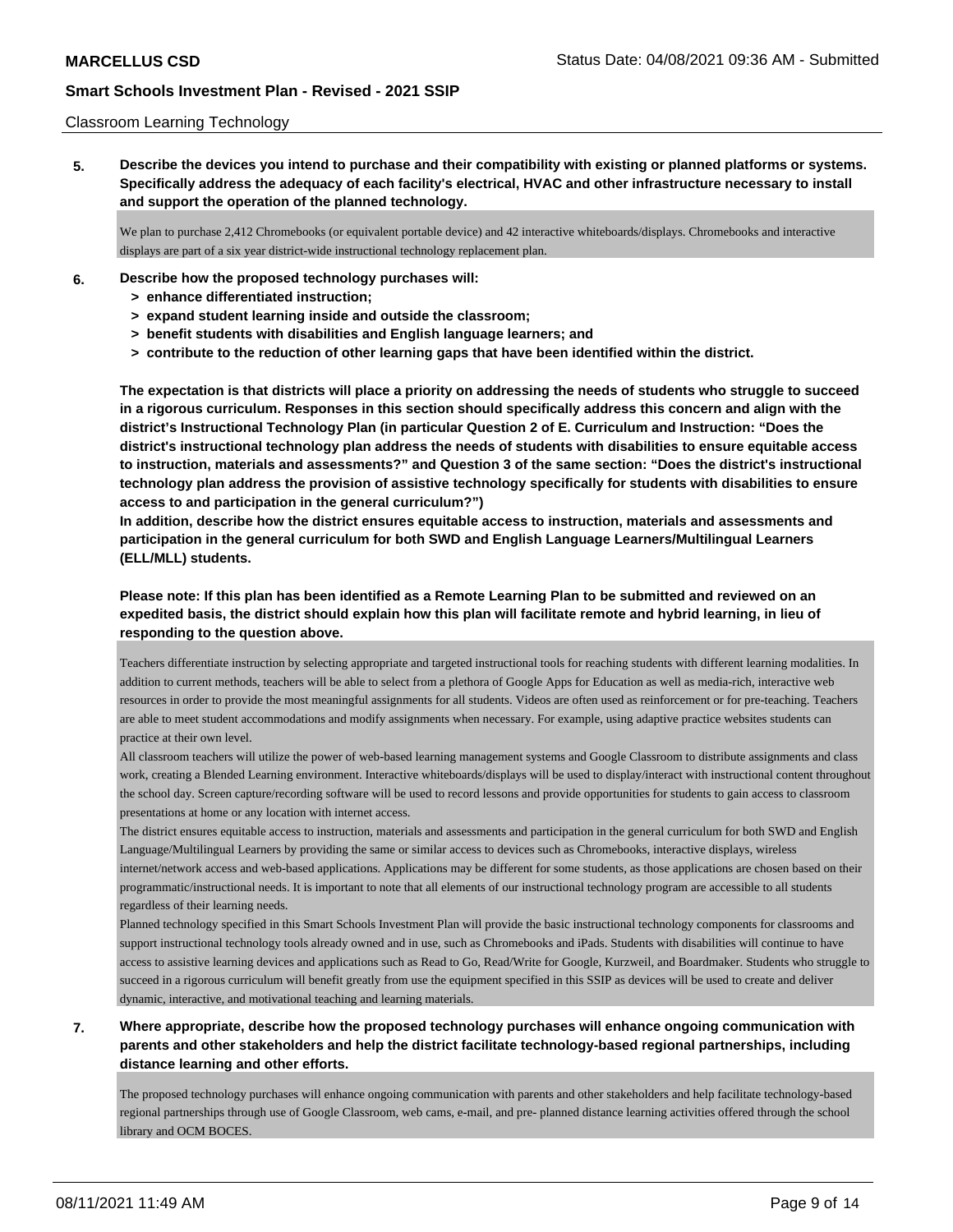#### Classroom Learning Technology

**5. Describe the devices you intend to purchase and their compatibility with existing or planned platforms or systems. Specifically address the adequacy of each facility's electrical, HVAC and other infrastructure necessary to install and support the operation of the planned technology.**

We plan to purchase 2,412 Chromebooks (or equivalent portable device) and 42 interactive whiteboards/displays. Chromebooks and interactive displays are part of a six year district-wide instructional technology replacement plan.

- **6. Describe how the proposed technology purchases will:**
	- **> enhance differentiated instruction;**
	- **> expand student learning inside and outside the classroom;**
	- **> benefit students with disabilities and English language learners; and**
	- **> contribute to the reduction of other learning gaps that have been identified within the district.**

**The expectation is that districts will place a priority on addressing the needs of students who struggle to succeed in a rigorous curriculum. Responses in this section should specifically address this concern and align with the district's Instructional Technology Plan (in particular Question 2 of E. Curriculum and Instruction: "Does the district's instructional technology plan address the needs of students with disabilities to ensure equitable access to instruction, materials and assessments?" and Question 3 of the same section: "Does the district's instructional technology plan address the provision of assistive technology specifically for students with disabilities to ensure access to and participation in the general curriculum?")**

**In addition, describe how the district ensures equitable access to instruction, materials and assessments and participation in the general curriculum for both SWD and English Language Learners/Multilingual Learners (ELL/MLL) students.**

## **Please note: If this plan has been identified as a Remote Learning Plan to be submitted and reviewed on an expedited basis, the district should explain how this plan will facilitate remote and hybrid learning, in lieu of responding to the question above.**

Teachers differentiate instruction by selecting appropriate and targeted instructional tools for reaching students with different learning modalities. In addition to current methods, teachers will be able to select from a plethora of Google Apps for Education as well as media-rich, interactive web resources in order to provide the most meaningful assignments for all students. Videos are often used as reinforcement or for pre-teaching. Teachers are able to meet student accommodations and modify assignments when necessary. For example, using adaptive practice websites students can practice at their own level.

All classroom teachers will utilize the power of web-based learning management systems and Google Classroom to distribute assignments and class work, creating a Blended Learning environment. Interactive whiteboards/displays will be used to display/interact with instructional content throughout the school day. Screen capture/recording software will be used to record lessons and provide opportunities for students to gain access to classroom presentations at home or any location with internet access.

The district ensures equitable access to instruction, materials and assessments and participation in the general curriculum for both SWD and English Language/Multilingual Learners by providing the same or similar access to devices such as Chromebooks, interactive displays, wireless internet/network access and web-based applications. Applications may be different for some students, as those applications are chosen based on their programmatic/instructional needs. It is important to note that all elements of our instructional technology program are accessible to all students regardless of their learning needs.

Planned technology specified in this Smart Schools Investment Plan will provide the basic instructional technology components for classrooms and support instructional technology tools already owned and in use, such as Chromebooks and iPads. Students with disabilities will continue to have access to assistive learning devices and applications such as Read to Go, Read/Write for Google, Kurzweil, and Boardmaker. Students who struggle to succeed in a rigorous curriculum will benefit greatly from use the equipment specified in this SSIP as devices will be used to create and deliver dynamic, interactive, and motivational teaching and learning materials.

## **7. Where appropriate, describe how the proposed technology purchases will enhance ongoing communication with parents and other stakeholders and help the district facilitate technology-based regional partnerships, including distance learning and other efforts.**

The proposed technology purchases will enhance ongoing communication with parents and other stakeholders and help facilitate technology-based regional partnerships through use of Google Classroom, web cams, e-mail, and pre- planned distance learning activities offered through the school library and OCM BOCES.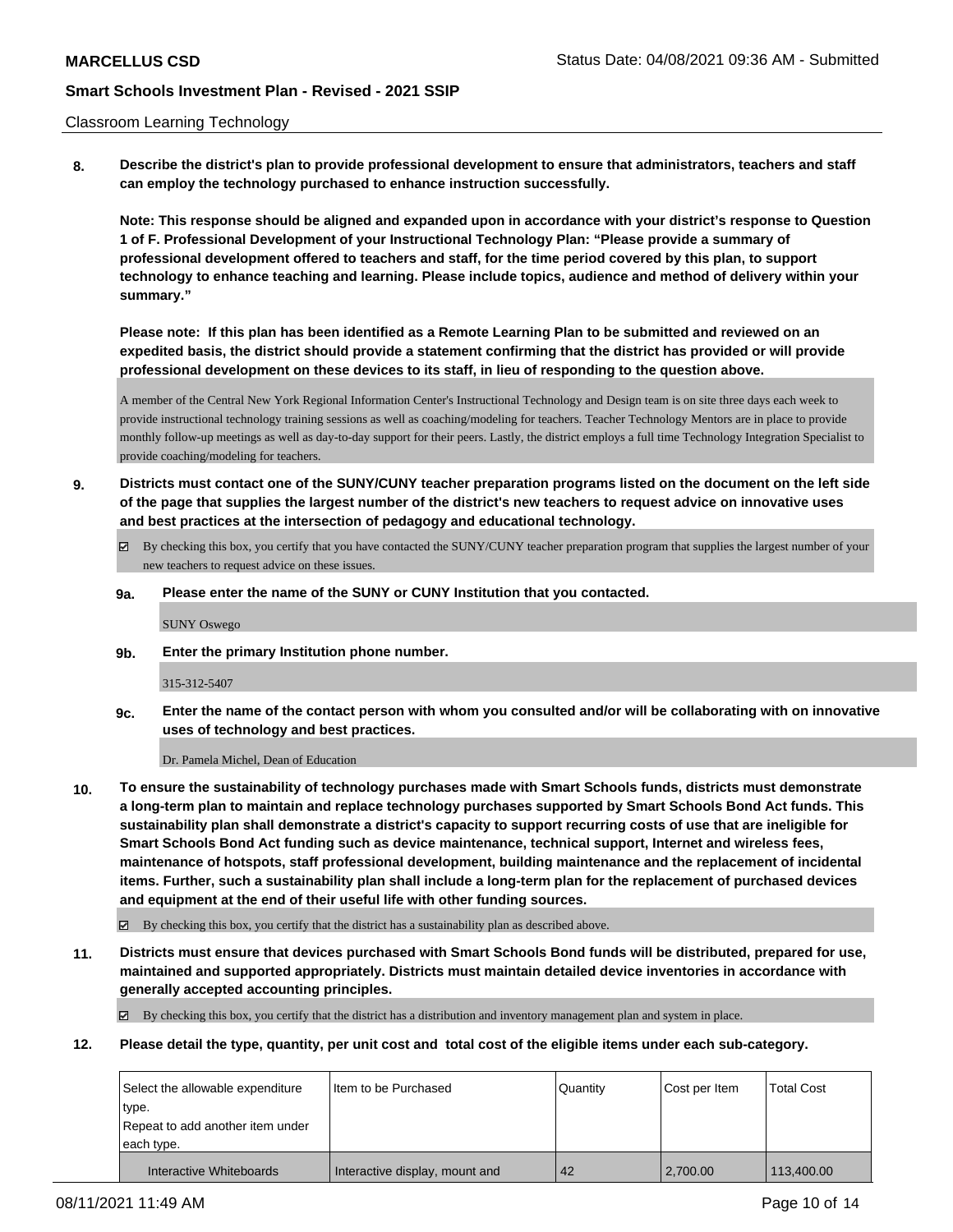#### Classroom Learning Technology

**8. Describe the district's plan to provide professional development to ensure that administrators, teachers and staff can employ the technology purchased to enhance instruction successfully.**

**Note: This response should be aligned and expanded upon in accordance with your district's response to Question 1 of F. Professional Development of your Instructional Technology Plan: "Please provide a summary of professional development offered to teachers and staff, for the time period covered by this plan, to support technology to enhance teaching and learning. Please include topics, audience and method of delivery within your summary."**

**Please note: If this plan has been identified as a Remote Learning Plan to be submitted and reviewed on an expedited basis, the district should provide a statement confirming that the district has provided or will provide professional development on these devices to its staff, in lieu of responding to the question above.**

A member of the Central New York Regional Information Center's Instructional Technology and Design team is on site three days each week to provide instructional technology training sessions as well as coaching/modeling for teachers. Teacher Technology Mentors are in place to provide monthly follow-up meetings as well as day-to-day support for their peers. Lastly, the district employs a full time Technology Integration Specialist to provide coaching/modeling for teachers.

- **9. Districts must contact one of the SUNY/CUNY teacher preparation programs listed on the document on the left side of the page that supplies the largest number of the district's new teachers to request advice on innovative uses and best practices at the intersection of pedagogy and educational technology.**
	- By checking this box, you certify that you have contacted the SUNY/CUNY teacher preparation program that supplies the largest number of your new teachers to request advice on these issues.
	- **9a. Please enter the name of the SUNY or CUNY Institution that you contacted.**

SUNY Oswego

**9b. Enter the primary Institution phone number.**

315-312-5407

**9c. Enter the name of the contact person with whom you consulted and/or will be collaborating with on innovative uses of technology and best practices.**

Dr. Pamela Michel, Dean of Education

**10. To ensure the sustainability of technology purchases made with Smart Schools funds, districts must demonstrate a long-term plan to maintain and replace technology purchases supported by Smart Schools Bond Act funds. This sustainability plan shall demonstrate a district's capacity to support recurring costs of use that are ineligible for Smart Schools Bond Act funding such as device maintenance, technical support, Internet and wireless fees, maintenance of hotspots, staff professional development, building maintenance and the replacement of incidental items. Further, such a sustainability plan shall include a long-term plan for the replacement of purchased devices and equipment at the end of their useful life with other funding sources.**

By checking this box, you certify that the district has a sustainability plan as described above.

**11. Districts must ensure that devices purchased with Smart Schools Bond funds will be distributed, prepared for use, maintained and supported appropriately. Districts must maintain detailed device inventories in accordance with generally accepted accounting principles.**

By checking this box, you certify that the district has a distribution and inventory management plan and system in place.

**12. Please detail the type, quantity, per unit cost and total cost of the eligible items under each sub-category.**

| Select the allowable expenditure | Iltem to be Purchased          | Quantity | Cost per Item | <b>Total Cost</b> |
|----------------------------------|--------------------------------|----------|---------------|-------------------|
| type.                            |                                |          |               |                   |
| Repeat to add another item under |                                |          |               |                   |
| leach tvpe.                      |                                |          |               |                   |
| Interactive Whiteboards          | Interactive display, mount and | 42       | 2,700.00      | 113,400.00        |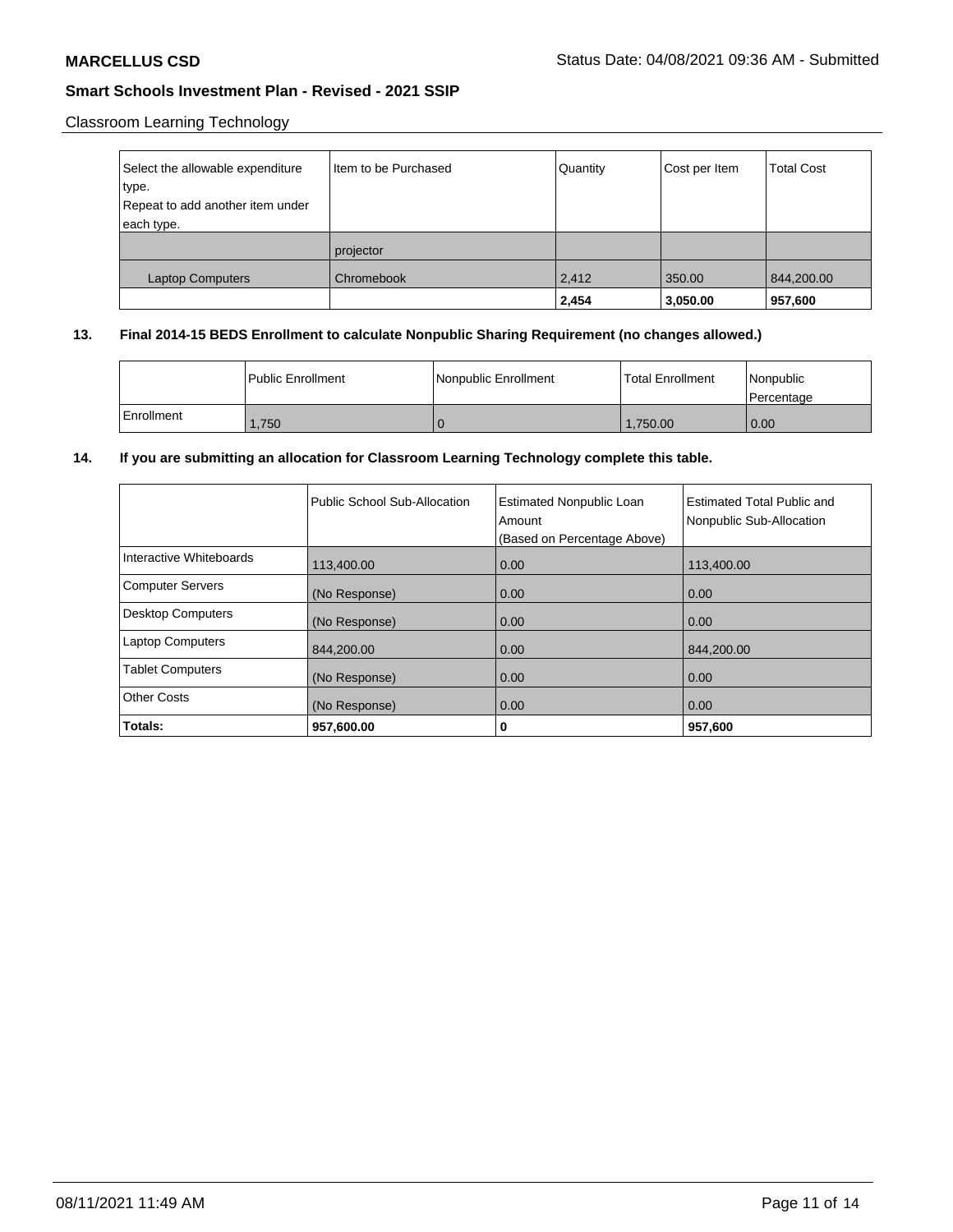## Classroom Learning Technology

| Select the allowable expenditure | I Item to be Purchased | Quantity | Cost per Item | <b>Total Cost</b> |
|----------------------------------|------------------------|----------|---------------|-------------------|
| type.                            |                        |          |               |                   |
| Repeat to add another item under |                        |          |               |                   |
| each type.                       |                        |          |               |                   |
|                                  | projector              |          |               |                   |
| <b>Laptop Computers</b>          | Chromebook             | 2,412    | 350.00        | 844,200.00        |
|                                  |                        | 2,454    | 3,050.00      | 957,600           |

## **13. Final 2014-15 BEDS Enrollment to calculate Nonpublic Sharing Requirement (no changes allowed.)**

|            | l Public Enrollment | Nonpublic Enrollment | <b>Total Enrollment</b> | Nonpublic<br>l Percentage |
|------------|---------------------|----------------------|-------------------------|---------------------------|
| Enrollment | .750                |                      | 1.750.00                | 0.00                      |

## **14. If you are submitting an allocation for Classroom Learning Technology complete this table.**

|                          | Public School Sub-Allocation | <b>Estimated Nonpublic Loan</b><br>Amount<br>(Based on Percentage Above) | Estimated Total Public and<br>Nonpublic Sub-Allocation |
|--------------------------|------------------------------|--------------------------------------------------------------------------|--------------------------------------------------------|
| Interactive Whiteboards  | 113,400.00                   | 0.00                                                                     | 113,400.00                                             |
| Computer Servers         | (No Response)                | 0.00                                                                     | 0.00                                                   |
| <b>Desktop Computers</b> | (No Response)                | 0.00                                                                     | 0.00                                                   |
| <b>Laptop Computers</b>  | 844,200.00                   | 0.00                                                                     | 844,200.00                                             |
| <b>Tablet Computers</b>  | (No Response)                | 0.00                                                                     | 0.00                                                   |
| Other Costs              | (No Response)                | 0.00                                                                     | 0.00                                                   |
| Totals:                  | 957,600.00                   | 0                                                                        | 957,600                                                |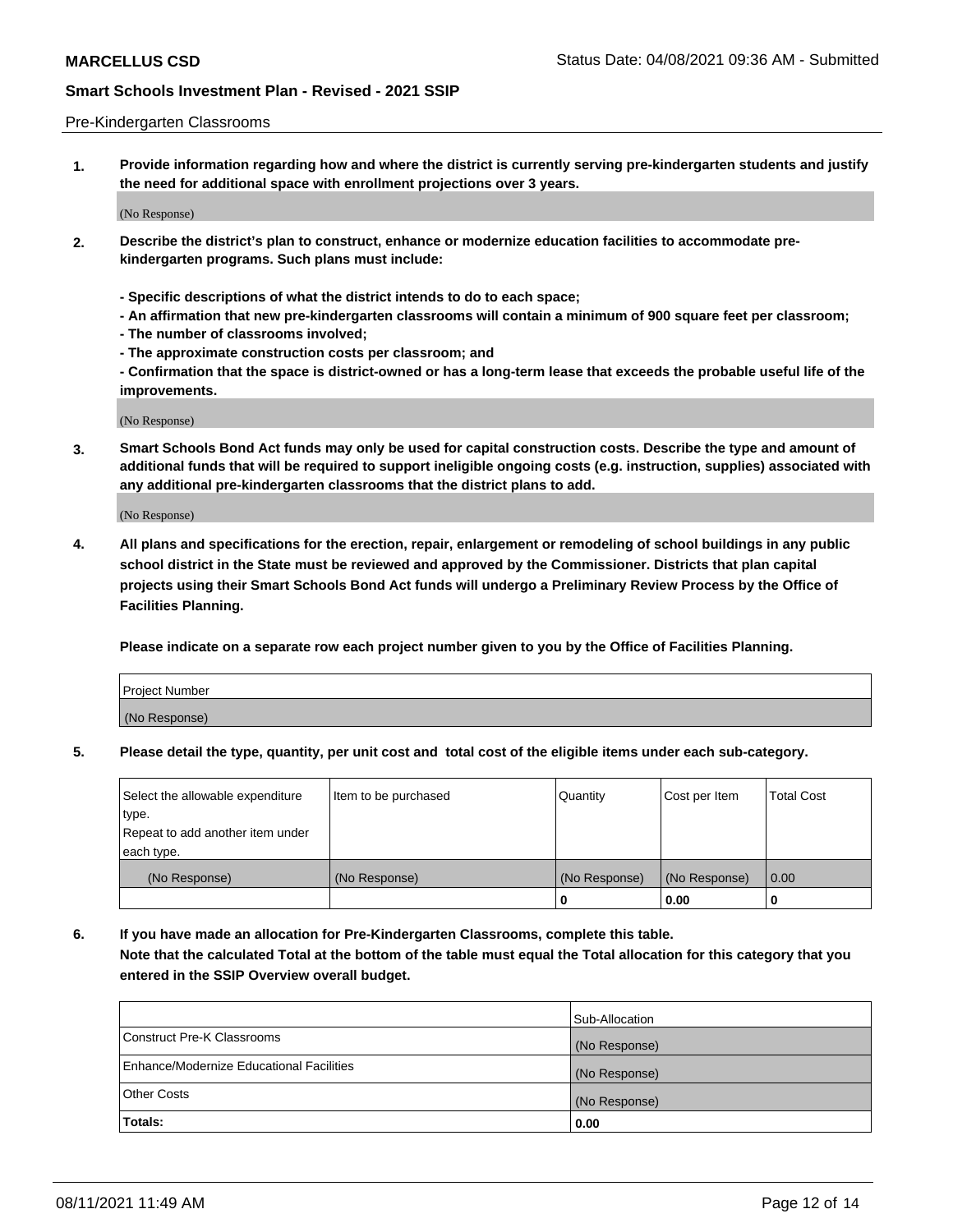#### Pre-Kindergarten Classrooms

**1. Provide information regarding how and where the district is currently serving pre-kindergarten students and justify the need for additional space with enrollment projections over 3 years.**

(No Response)

- **2. Describe the district's plan to construct, enhance or modernize education facilities to accommodate prekindergarten programs. Such plans must include:**
	- **Specific descriptions of what the district intends to do to each space;**
	- **An affirmation that new pre-kindergarten classrooms will contain a minimum of 900 square feet per classroom;**
	- **The number of classrooms involved;**
	- **The approximate construction costs per classroom; and**
	- **Confirmation that the space is district-owned or has a long-term lease that exceeds the probable useful life of the improvements.**

(No Response)

**3. Smart Schools Bond Act funds may only be used for capital construction costs. Describe the type and amount of additional funds that will be required to support ineligible ongoing costs (e.g. instruction, supplies) associated with any additional pre-kindergarten classrooms that the district plans to add.**

(No Response)

**4. All plans and specifications for the erection, repair, enlargement or remodeling of school buildings in any public school district in the State must be reviewed and approved by the Commissioner. Districts that plan capital projects using their Smart Schools Bond Act funds will undergo a Preliminary Review Process by the Office of Facilities Planning.**

**Please indicate on a separate row each project number given to you by the Office of Facilities Planning.**

| Project Number |  |
|----------------|--|
| (No Response)  |  |
|                |  |

**5. Please detail the type, quantity, per unit cost and total cost of the eligible items under each sub-category.**

| Select the allowable expenditure | Item to be purchased | Quantity      | Cost per Item | <b>Total Cost</b> |
|----------------------------------|----------------------|---------------|---------------|-------------------|
| type.                            |                      |               |               |                   |
| Repeat to add another item under |                      |               |               |                   |
| each type.                       |                      |               |               |                   |
| (No Response)                    | (No Response)        | (No Response) | (No Response) | 0.00              |
|                                  |                      | υ             | 0.00          |                   |

**6. If you have made an allocation for Pre-Kindergarten Classrooms, complete this table. Note that the calculated Total at the bottom of the table must equal the Total allocation for this category that you entered in the SSIP Overview overall budget.**

|                                          | Sub-Allocation |
|------------------------------------------|----------------|
| Construct Pre-K Classrooms               | (No Response)  |
| Enhance/Modernize Educational Facilities | (No Response)  |
| <b>Other Costs</b>                       | (No Response)  |
| Totals:                                  | 0.00           |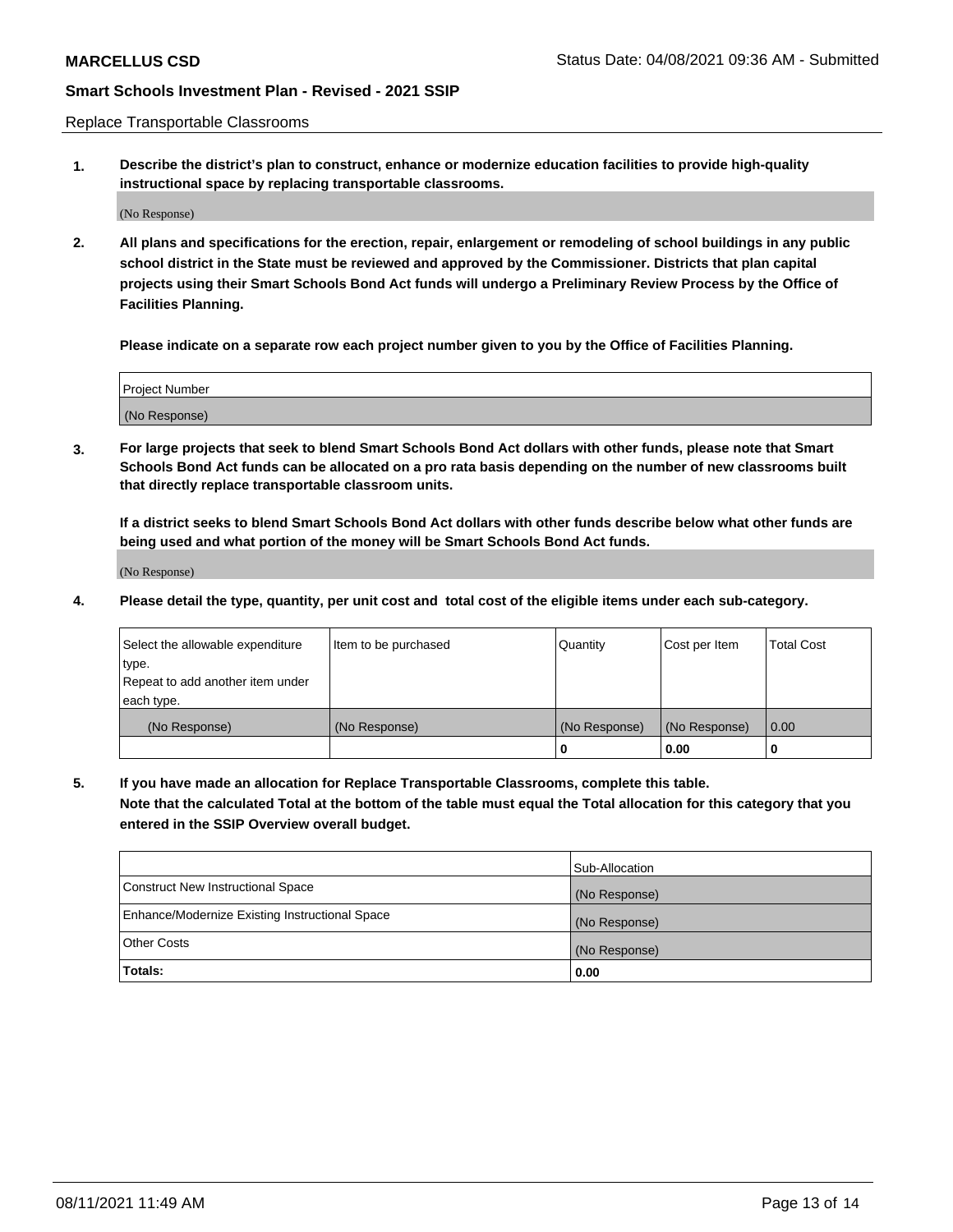Replace Transportable Classrooms

**1. Describe the district's plan to construct, enhance or modernize education facilities to provide high-quality instructional space by replacing transportable classrooms.**

(No Response)

**2. All plans and specifications for the erection, repair, enlargement or remodeling of school buildings in any public school district in the State must be reviewed and approved by the Commissioner. Districts that plan capital projects using their Smart Schools Bond Act funds will undergo a Preliminary Review Process by the Office of Facilities Planning.**

**Please indicate on a separate row each project number given to you by the Office of Facilities Planning.**

| Project Number |  |
|----------------|--|
|                |  |
|                |  |
|                |  |
|                |  |
| (No Response)  |  |
|                |  |
|                |  |
|                |  |

**3. For large projects that seek to blend Smart Schools Bond Act dollars with other funds, please note that Smart Schools Bond Act funds can be allocated on a pro rata basis depending on the number of new classrooms built that directly replace transportable classroom units.**

**If a district seeks to blend Smart Schools Bond Act dollars with other funds describe below what other funds are being used and what portion of the money will be Smart Schools Bond Act funds.**

(No Response)

**4. Please detail the type, quantity, per unit cost and total cost of the eligible items under each sub-category.**

| Select the allowable expenditure | Item to be purchased | Quantity      | Cost per Item | Total Cost |
|----------------------------------|----------------------|---------------|---------------|------------|
| ∣type.                           |                      |               |               |            |
| Repeat to add another item under |                      |               |               |            |
| each type.                       |                      |               |               |            |
| (No Response)                    | (No Response)        | (No Response) | (No Response) | 0.00       |
|                                  |                      | u             | 0.00          |            |

**5. If you have made an allocation for Replace Transportable Classrooms, complete this table. Note that the calculated Total at the bottom of the table must equal the Total allocation for this category that you entered in the SSIP Overview overall budget.**

|                                                | Sub-Allocation |
|------------------------------------------------|----------------|
| Construct New Instructional Space              | (No Response)  |
| Enhance/Modernize Existing Instructional Space | (No Response)  |
| <b>Other Costs</b>                             | (No Response)  |
| Totals:                                        | 0.00           |